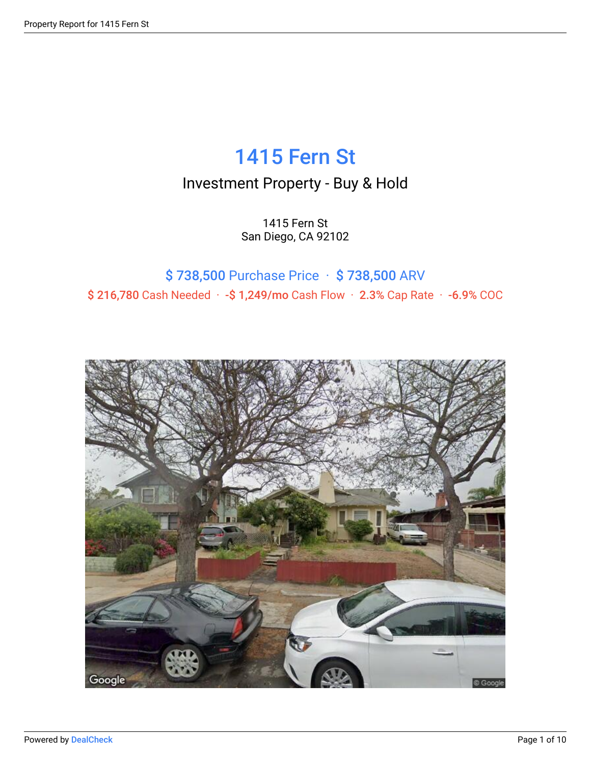## 1415 Fern St

### Investment Property - Buy & Hold

1415 Fern St San Diego, CA 92102

### \$ 738,500 Purchase Price · \$ 738,500 ARV \$ 216,780 Cash Needed · -\$ 1,249/mo Cash Flow · 2.3% Cap Rate · -6.9% COC

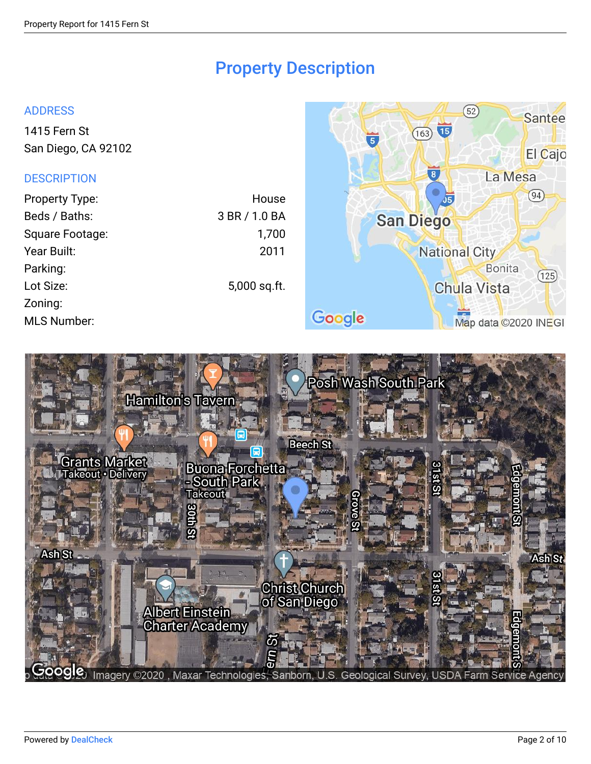### Property Description

#### ADDRESS

[1415 Fern St](http://maps.google.com/maps?z=15&t=m&q=1415%20Fern%20St%2CSan%20Diego%2CCA%2C92102) [San Diego, CA 92102](http://maps.google.com/maps?z=15&t=m&q=1415%20Fern%20St%2CSan%20Diego%2CCA%2C92102)

#### **DESCRIPTION**

| <b>Property Type:</b> | House         |
|-----------------------|---------------|
| Beds / Baths:         | 3 BR / 1.0 BA |
| Square Footage:       | 1,700         |
| Year Built:           | 2011          |
| Parking:              |               |
| Lot Size:             | 5,000 sq.ft.  |
| Zoning:               |               |
| <b>MLS Number:</b>    |               |



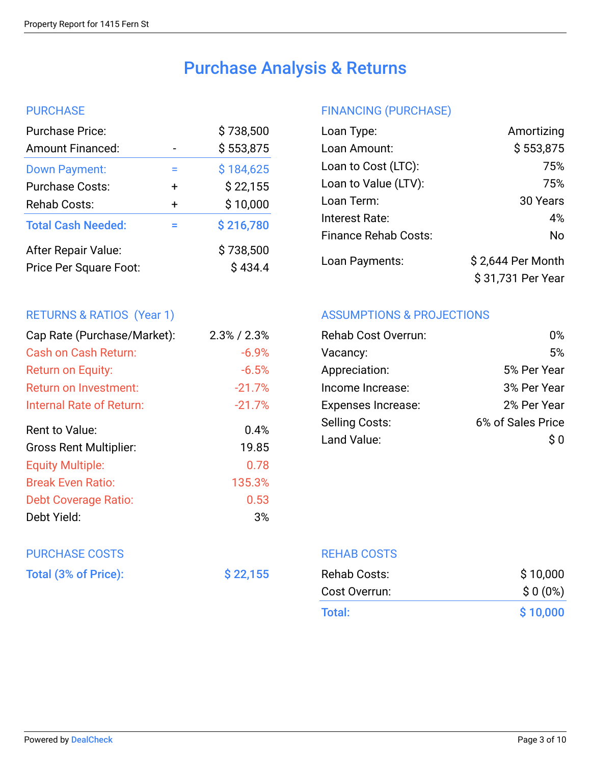## Purchase Analysis & Returns

#### **PURCHASE**

|        | \$738,500            |
|--------|----------------------|
|        | \$553,875            |
| ⋍      | \$184,625            |
| $\div$ | \$22,155             |
| $\div$ | \$10,000             |
|        | \$216,780            |
|        | \$738,500<br>\$434.4 |
|        |                      |

### RETURNS & RATIOS (Year 1)

| Cap Rate (Purchase/Market):   | $2.3\%$ / $2.3\%$ |
|-------------------------------|-------------------|
| Cash on Cash Return:          | $-6.9%$           |
| Return on Equity:             | $-6.5%$           |
| Return on Investment:         | $-21.7%$          |
| Internal Rate of Return:      | $-21.7%$          |
| Rent to Value:                | 0.4%              |
| <b>Gross Rent Multiplier:</b> | 19.85             |
| <b>Equity Multiple:</b>       | 0.78              |
| <b>Break Even Ratio:</b>      | 135.3%            |
| <b>Debt Coverage Ratio:</b>   | 0.53              |
| Debt Yield:                   | 3%                |

# PURCHASE COSTS

| Total (3% of Price): | \$22,155 |
|----------------------|----------|
|----------------------|----------|

### FINANCING (PURCHASE)

| Loan Type:                  | Amortizing        |
|-----------------------------|-------------------|
| Loan Amount:                | \$553,875         |
| Loan to Cost (LTC):         | 75%               |
| Loan to Value (LTV):        | 75%               |
| Loan Term:                  | 30 Years          |
| Interest Rate:              | 4%                |
| <b>Finance Rehab Costs:</b> | No                |
| Loan Payments:              | \$2,644 Per Month |
|                             | \$31,731 Per Year |

#### ASSUMPTIONS & PROJECTIONS

| <b>Rehab Cost Overrun:</b> | በ%                |
|----------------------------|-------------------|
| Vacancy:                   | 5%                |
| Appreciation:              | 5% Per Year       |
| Income Increase:           | 3% Per Year       |
| <b>Expenses Increase:</b>  | 2% Per Year       |
| <b>Selling Costs:</b>      | 6% of Sales Price |
| Land Value:                | S O               |
|                            |                   |

REHAB COSTS

| Rehab Costs:  | \$10,000  |
|---------------|-----------|
| Cost Overrun: | $$0(0\%)$ |
| Total:        | \$10,000  |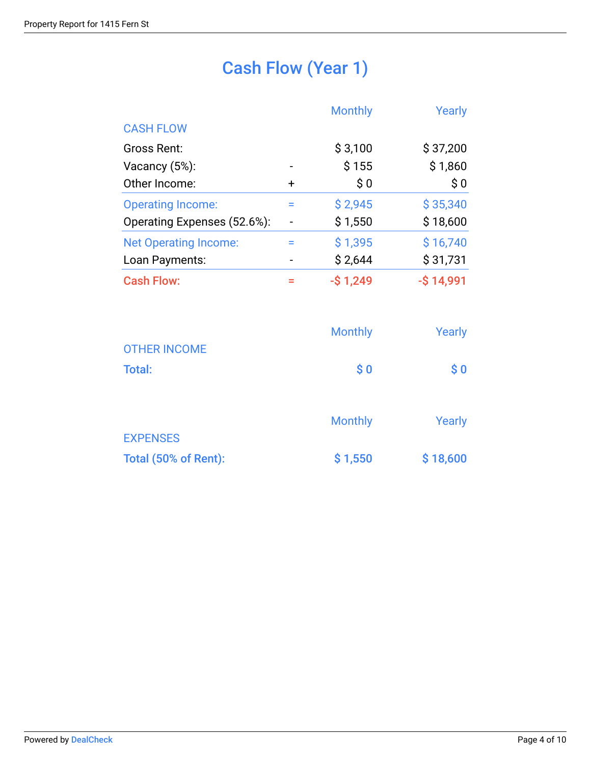## Cash Flow (Year 1)

|                              |           | <b>Monthly</b> | Yearly       |
|------------------------------|-----------|----------------|--------------|
| <b>CASH FLOW</b>             |           |                |              |
| Gross Rent:                  |           | \$3,100        | \$37,200     |
| Vacancy $(5%)$ :             |           | \$155          | \$1,860      |
| Other Income:                | $\ddot{}$ | \$0            | \$0          |
| <b>Operating Income:</b>     | =         | \$2,945        | \$35,340     |
| Operating Expenses (52.6%):  |           | \$1,550        | \$18,600     |
| <b>Net Operating Income:</b> | ⋍         | \$1,395        | \$16,740     |
| Loan Payments:               |           | \$2,644        | \$31,731     |
| <b>Cash Flow:</b>            |           | $-$ \$1,249    | $-$ \$14,991 |

|                      | <b>Monthly</b> | Yearly                            |
|----------------------|----------------|-----------------------------------|
| <b>OTHER INCOME</b>  |                |                                   |
| <b>Total:</b>        | \$0            | $\boldsymbol{\$}\ \boldsymbol{0}$ |
|                      |                |                                   |
|                      | <b>Monthly</b> | Yearly                            |
| <b>EXPENSES</b>      |                |                                   |
| Total (50% of Rent): | \$1,550        | \$18,600                          |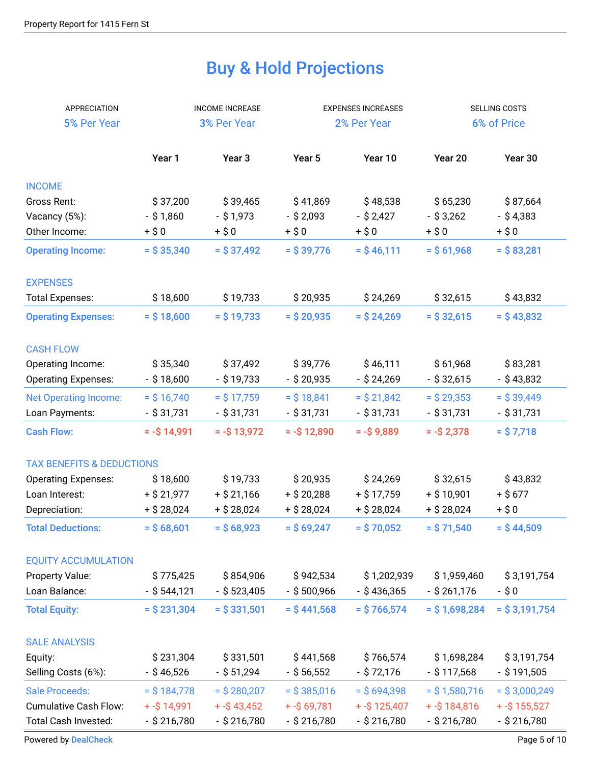## Buy & Hold Projections

| APPRECIATION                         |                | <b>INCOME INCREASE</b> | <b>EXPENSES INCREASES</b> |                 | SELLING COSTS   |                 |  |
|--------------------------------------|----------------|------------------------|---------------------------|-----------------|-----------------|-----------------|--|
| 5% Per Year                          |                | 3% Per Year            | 2% Per Year               |                 | 6% of Price     |                 |  |
|                                      |                |                        |                           |                 |                 |                 |  |
|                                      | Year 1         | Year <sub>3</sub>      | Year 5                    | Year 10         | Year 20         | Year 30         |  |
| <b>INCOME</b>                        |                |                        |                           |                 |                 |                 |  |
| Gross Rent:                          | \$37,200       | \$39,465               | \$41,869                  | \$48,538        | \$65,230        | \$87,664        |  |
| Vacancy (5%):                        | $-$ \$1,860    | $-$ \$ 1,973           | $-$ \$ 2,093              | $-$ \$ 2,427    | $-$ \$ 3,262    | $-$ \$4,383     |  |
| Other Income:                        | $+$ \$0        | $+ $0$                 | $+ $0$                    | $+ $0$          | $+ $0$          | $+$ \$0         |  |
| <b>Operating Income:</b>             | $=$ \$ 35,340  | $=$ \$37,492           | $=$ \$ 39,776             | $=$ \$46,111    | $=$ \$61,968    | $=$ \$83,281    |  |
| <b>EXPENSES</b>                      |                |                        |                           |                 |                 |                 |  |
| <b>Total Expenses:</b>               | \$18,600       | \$19,733               | \$20,935                  | \$24,269        | \$32,615        | \$43,832        |  |
| <b>Operating Expenses:</b>           | $=$ \$18,600   | $=$ \$ 19,733          | $=$ \$ 20,935             | $=$ \$ 24,269   | $=$ \$32,615    | $=$ \$43,832    |  |
| <b>CASH FLOW</b>                     |                |                        |                           |                 |                 |                 |  |
| Operating Income:                    | \$35,340       | \$37,492               | \$39,776                  | \$46,111        | \$61,968        | \$83,281        |  |
| <b>Operating Expenses:</b>           | $-$ \$18,600   | $-$ \$ 19,733          | $-$ \$ 20,935             | $-$ \$ 24,269   | $-$ \$ 32,615   | - \$43,832      |  |
|                                      |                |                        |                           |                 |                 |                 |  |
| <b>Net Operating Income:</b>         | $=$ \$ 16,740  | $=$ \$ 17,759          | $=$ \$18,841              | $=$ \$ 21,842   | $=$ \$ 29,353   | $=$ \$ 39,449   |  |
| Loan Payments:                       | $-$ \$ 31,731  | - \$31,731             | $-$ \$ 31,731             | $-$ \$ 31,731   | - \$31,731      | $-$ \$ 31,731   |  |
| <b>Cash Flow:</b>                    | $= -\$ 14,991  | $= -\$ 13,972$         | $= -\$ 12,890$            | $= -\$ 9,889$   | $= -\$ 2,378$   | $=$ \$7,718     |  |
| <b>TAX BENEFITS &amp; DEDUCTIONS</b> |                |                        |                           |                 |                 |                 |  |
| <b>Operating Expenses:</b>           | \$18,600       | \$19,733               | \$20,935                  | \$24,269        | \$32,615        | \$43,832        |  |
| Loan Interest:                       | $+$ \$ 21,977  | $+$ \$ 21,166          | $+$ \$ 20,288             | $+$ \$ 17,759   | $+$ \$10,901    | $+$ \$677       |  |
| Depreciation:                        | $+$ \$ 28,024  | $+$ \$ 28,024          | $+$ \$ 28,024             | $+$ \$ 28,024   | + \$ 28,024     | $+$ \$0         |  |
| <b>Total Deductions:</b>             | $=$ \$68,601   | $=$ \$68,923           | $=$ \$69,247              | $=$ \$70,052    | $=$ \$71,540    | $=$ \$44,509    |  |
| <b>EQUITY ACCUMULATION</b>           |                |                        |                           |                 |                 |                 |  |
| Property Value:                      | \$775,425      | \$854,906              | \$942,534                 | \$1,202,939     | \$1,959,460     | \$3,191,754     |  |
| Loan Balance:                        | - \$ 544,121   | $-$ \$ 523,405         | $-$ \$500,966             | $-$ \$436,365   | $-$ \$ 261,176  | -\$0            |  |
| <b>Total Equity:</b>                 | $=$ \$ 231,304 | $=$ \$ 331,501         | $=$ \$441,568             | $=$ \$766,574   | $=$ \$1,698,284 | $=$ \$3,191,754 |  |
|                                      |                |                        |                           |                 |                 |                 |  |
| <b>SALE ANALYSIS</b>                 |                |                        |                           |                 |                 |                 |  |
| Equity:                              | \$231,304      | \$331,501              | \$441,568                 | \$766,574       | \$1,698,284     | \$3,191,754     |  |
| Selling Costs (6%):                  | $-$ \$ 46,526  | $-$ \$ 51,294          | $-$ \$ 56,552             | $-$ \$ 72,176   | $-$ \$ 117,568  | $-$ \$191,505   |  |
| <b>Sale Proceeds:</b>                | $=$ \$184,778  | $=$ \$ 280,207         | $=$ \$385,016             | $=$ \$694,398   | $=$ \$1,580,716 | $=$ \$3,000,249 |  |
| <b>Cumulative Cash Flow:</b>         | $+ - $14,991$  | $+ - $43,452$          | $+ - $69,781$             | $+ - $ 125,407$ | $+ - $184,816$  | $+ - $ 155,527$ |  |
| Total Cash Invested:                 | $-$ \$ 216,780 | $-$ \$ 216,780         | $-$ \$ 216,780            | $-$ \$ 216,780  | $-$ \$ 216,780  | $-$ \$ 216,780  |  |

[Powered by](https://dealcheck.io/?utm_source=Property%20Reports&utm_medium=PDF&utm_campaign=Property%20Reports) [DealCheck](https://dealcheck.io/?utm_source=Property%20Reports&utm_medium=PDF&utm_campaign=Property%20Reports) Page 5 of 10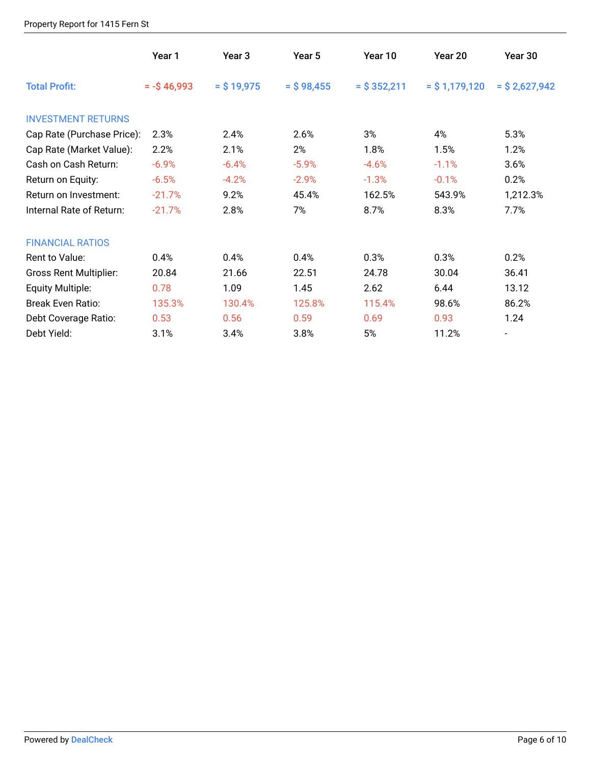#### Property Report for 1415 Fern St

|                               | Year 1            | Year 3        | Year 5       | Year 10        | Year 20          | Year 30          |
|-------------------------------|-------------------|---------------|--------------|----------------|------------------|------------------|
| <b>Total Profit:</b>          | $= -\$ {5} 46,993 | $=$ \$ 19,975 | $=$ \$98,455 | $=$ \$ 352,211 | $=$ \$ 1,179,120 | $=$ \$ 2,627,942 |
| <b>INVESTMENT RETURNS</b>     |                   |               |              |                |                  |                  |
| Cap Rate (Purchase Price):    | 2.3%              | 2.4%          | 2.6%         | 3%             | 4%               | 5.3%             |
| Cap Rate (Market Value):      | 2.2%              | 2.1%          | 2%           | 1.8%           | 1.5%             | 1.2%             |
| Cash on Cash Return:          | $-6.9%$           | $-6.4%$       | $-5.9%$      | $-4.6%$        | $-1.1%$          | 3.6%             |
| Return on Equity:             | $-6.5%$           | $-4.2%$       | $-2.9%$      | $-1.3%$        | $-0.1%$          | 0.2%             |
| Return on Investment:         | $-21.7%$          | 9.2%          | 45.4%        | 162.5%         | 543.9%           | 1,212.3%         |
| Internal Rate of Return:      | $-21.7%$          | 2.8%          | 7%           | 8.7%           | 8.3%             | 7.7%             |
| <b>FINANCIAL RATIOS</b>       |                   |               |              |                |                  |                  |
| Rent to Value:                | 0.4%              | 0.4%          | 0.4%         | 0.3%           | 0.3%             | 0.2%             |
| <b>Gross Rent Multiplier:</b> | 20.84             | 21.66         | 22.51        | 24.78          | 30.04            | 36.41            |
| Equity Multiple:              | 0.78              | 1.09          | 1.45         | 2.62           | 6.44             | 13.12            |
| <b>Break Even Ratio:</b>      | 135.3%            | 130.4%        | 125.8%       | 115.4%         | 98.6%            | 86.2%            |
| Debt Coverage Ratio:          | 0.53              | 0.56          | 0.59         | 0.69           | 0.93             | 1.24             |
| Debt Yield:                   | 3.1%              | 3.4%          | 3.8%         | 5%             | 11.2%            |                  |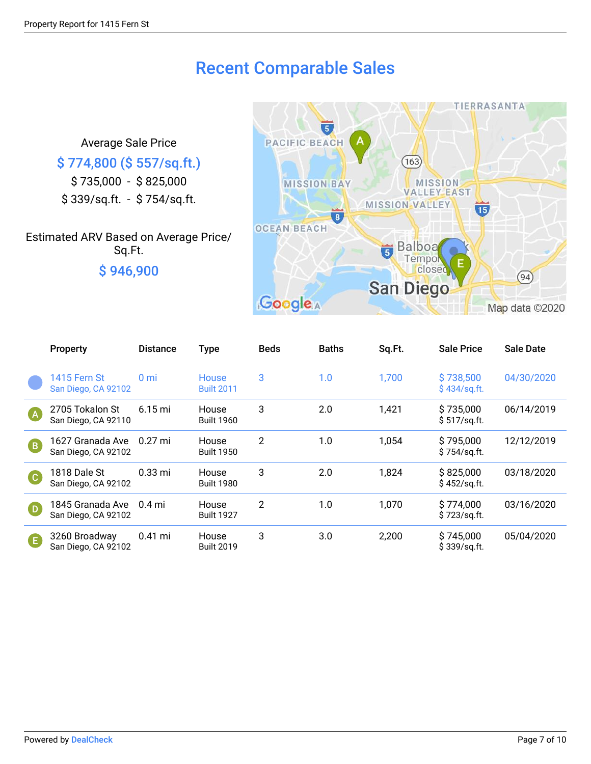### Recent Comparable Sales

Average Sale Price

### \$ 774,800 (\$ 557/sq.ft.)

\$ 735,000 - \$ 825,000 \$ 339/sq.ft. - \$ 754/sq.ft.

### Estimated ARV Based on Average Price/ Sq.Ft. \$ 946,900



|                            | Property                                   | <b>Distance</b>      | <b>Type</b>                       | <b>Beds</b>    | <b>Baths</b> | Sq.Ft. | <b>Sale Price</b>          | <b>Sale Date</b> |
|----------------------------|--------------------------------------------|----------------------|-----------------------------------|----------------|--------------|--------|----------------------------|------------------|
|                            | <b>1415 Fern St</b><br>San Diego, CA 92102 | 0 <sub>mi</sub>      | <b>House</b><br><b>Built 2011</b> | 3              | 1.0          | 1,700  | \$738,500<br>\$434/sq.ft.  | 04/30/2020       |
| (A)                        | 2705 Tokalon St<br>San Diego, CA 92110     | $6.15 \,\mathrm{mi}$ | House<br><b>Built 1960</b>        | 3              | 2.0          | 1,421  | \$735,000<br>\$517/sq.ft.  | 06/14/2019       |
| $\left( \mathbf{B}\right)$ | 1627 Granada Ave<br>San Diego, CA 92102    | $0.27$ mi            | House<br><b>Built 1950</b>        | $\overline{2}$ | 1.0          | 1,054  | \$795,000<br>\$754/sq.ft.  | 12/12/2019       |
| <b>C</b>                   | 1818 Dale St<br>San Diego, CA 92102        | $0.33$ mi            | <b>House</b><br><b>Built 1980</b> | 3              | 2.0          | 1,824  | \$825,000<br>\$452/sq.ft.  | 03/18/2020       |
| $\overline{D}$             | 1845 Granada Ave<br>San Diego, CA 92102    | $0.4$ mi             | House<br><b>Built 1927</b>        | $\overline{2}$ | 1.0          | 1,070  | \$774,000<br>\$723/sq.ft.  | 03/16/2020       |
| G                          | 3260 Broadway<br>San Diego, CA 92102       | $0.41$ mi            | House<br><b>Built 2019</b>        | 3              | 3.0          | 2,200  | \$745,000<br>\$339/sq.fit. | 05/04/2020       |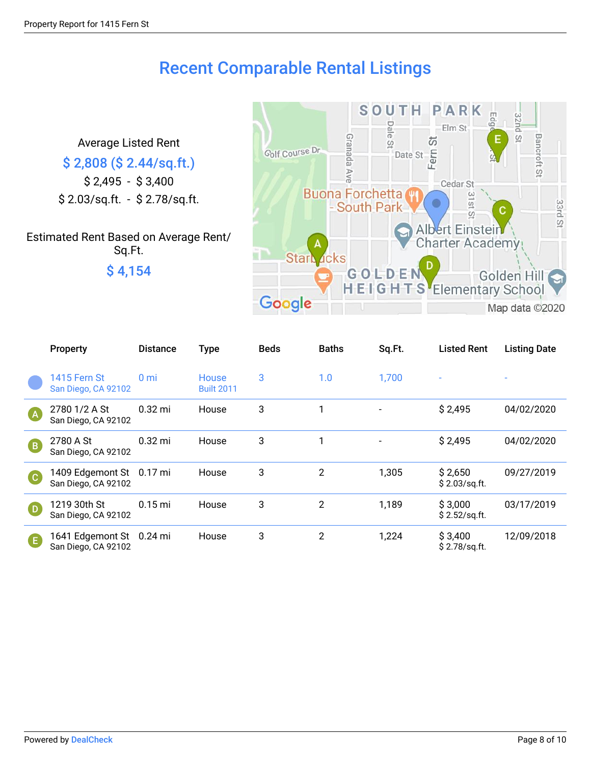### Recent Comparable Rental Listings

Average Listed Rent \$ 2,808 (\$ 2.44/sq.ft.) \$ 2,495 - \$ 3,400 \$ 2.03/sq.ft. - \$ 2.78/sq.ft.

Estimated Rent Based on Average Rent/ Sq.Ft. \$ 4,154



|                | <b>Property</b>                                 | <b>Distance</b> | <b>Type</b>                       | <b>Beds</b> | <b>Baths</b>   | Sq.Ft. | <b>Listed Rent</b>        | <b>Listing Date</b> |
|----------------|-------------------------------------------------|-----------------|-----------------------------------|-------------|----------------|--------|---------------------------|---------------------|
|                | <b>1415 Fern St</b><br>San Diego, CA 92102      | 0 <sub>mi</sub> | <b>House</b><br><b>Built 2011</b> | 3           | 1.0            | 1,700  | $\overline{\phantom{a}}$  |                     |
| <b>A</b>       | 2780 1/2 A St<br>San Diego, CA 92102            | $0.32$ mi       | House                             | 3           |                |        | \$2,495                   | 04/02/2020          |
| $\overline{B}$ | 2780 A St<br>San Diego, CA 92102                | $0.32$ mi       | House                             | 3           |                |        | \$2,495                   | 04/02/2020          |
| C              | 1409 Edgemont St 0.17 mi<br>San Diego, CA 92102 |                 | House                             | 3           | $\overline{2}$ | 1,305  | \$2,650<br>\$2.03/sq.fit. | 09/27/2019          |
| $\Box$         | 1219 30th St<br>San Diego, CA 92102             | $0.15$ mi       | House                             | 3           | $\overline{2}$ | 1,189  | \$3,000<br>\$2.52/sq.fit. | 03/17/2019          |
| Œ              | 1641 Edgemont St 0.24 mi<br>San Diego, CA 92102 |                 | House                             | 3           | $\overline{2}$ | 1,224  | \$3,400<br>\$2.78/sq.ft.  | 12/09/2018          |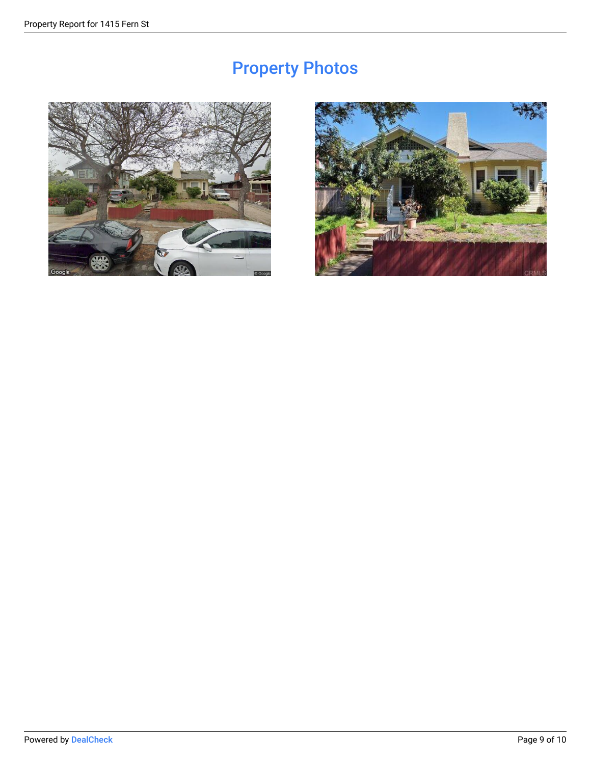## Property Photos